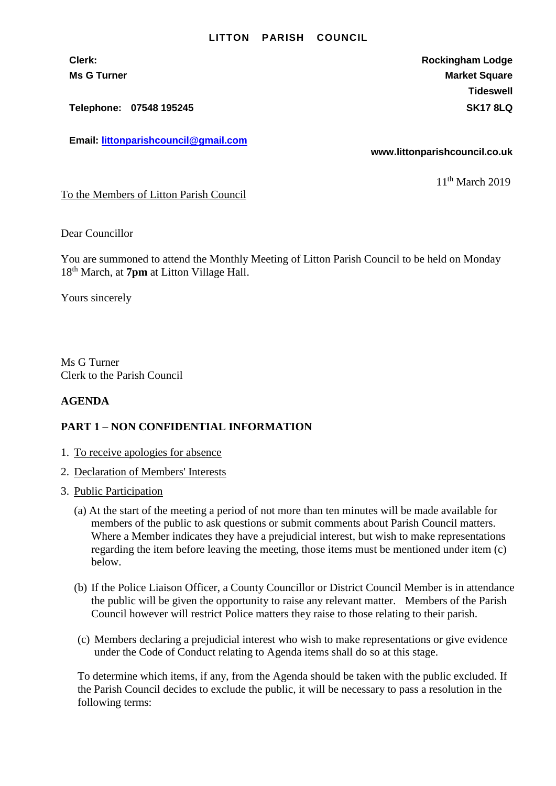## **LITTON PARISH COUNCIL**

**Telephone: 07548 195245 SK17 8LQ**

**Email: [littonparishcouncil@gmail.com](mailto:littonparishcouncil@gmail.com)**

**Clerk: Rockingham Lodge Ms G Turner Market Square** Market Square Market Square **Tideswell**

**www.littonparishcouncil.co.uk**

11th March 2019

To the Members of Litton Parish Council

Dear Councillor

You are summoned to attend the Monthly Meeting of Litton Parish Council to be held on Monday 18th March, at **7pm** at Litton Village Hall.

Yours sincerely

Ms G Turner Clerk to the Parish Council

## **AGENDA**

## **PART 1 – NON CONFIDENTIAL INFORMATION**

- 1. To receive apologies for absence
- 2. Declaration of Members' Interests
- 3. Public Participation
	- (a) At the start of the meeting a period of not more than ten minutes will be made available for members of the public to ask questions or submit comments about Parish Council matters. Where a Member indicates they have a prejudicial interest, but wish to make representations regarding the item before leaving the meeting, those items must be mentioned under item (c) below.
	- (b) If the Police Liaison Officer, a County Councillor or District Council Member is in attendance the public will be given the opportunity to raise any relevant matter. Members of the Parish Council however will restrict Police matters they raise to those relating to their parish.
	- (c) Members declaring a prejudicial interest who wish to make representations or give evidence under the Code of Conduct relating to Agenda items shall do so at this stage.

To determine which items, if any, from the Agenda should be taken with the public excluded. If the Parish Council decides to exclude the public, it will be necessary to pass a resolution in the following terms: